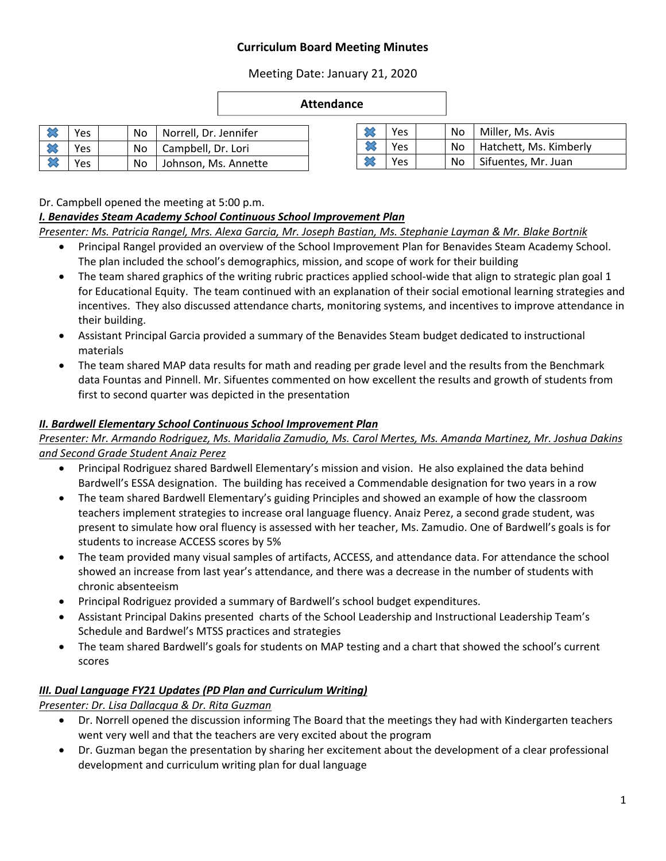### **Curriculum Board Meeting Minutes**

Meeting Date: January 21, 2020

#### **Attendance**

| Yes |  | No   Norrell, Dr. Jennifer |
|-----|--|----------------------------|
| Yes |  | No   Campbell, Dr. Lori    |
| Yes |  | No Johnson, Ms. Annette    |

| Yes  |  | No   Miller, Ms. Avis       |
|------|--|-----------------------------|
| Yes. |  | No   Hatchett, Ms. Kimberly |
| Yes  |  | No   Sifuentes, Mr. Juan    |

Dr. Campbell opened the meeting at 5:00 p.m.

#### *I. Benavides Steam Academy School Continuous School Improvement Plan*

*Presenter: Ms. Patricia Rangel, Mrs. Alexa Garcia, Mr. Joseph Bastian, Ms. Stephanie Layman & Mr. Blake Bortnik* 

- Principal Rangel provided an overview of the School Improvement Plan for Benavides Steam Academy School. The plan included the school's demographics, mission, and scope of work for their building
- The team shared graphics of the writing rubric practices applied school-wide that align to strategic plan goal 1 for Educational Equity. The team continued with an explanation of their social emotional learning strategies and incentives. They also discussed attendance charts, monitoring systems, and incentives to improve attendance in their building.
- Assistant Principal Garcia provided a summary of the Benavides Steam budget dedicated to instructional materials
- The team shared MAP data results for math and reading per grade level and the results from the Benchmark data Fountas and Pinnell. Mr. Sifuentes commented on how excellent the results and growth of students from first to second quarter was depicted in the presentation

#### *II. Bardwell Elementary School Continuous School Improvement Plan*

*Presenter: Mr. Armando Rodriguez, Ms. Maridalia Zamudio, Ms. Carol Mertes, Ms. Amanda Martinez, Mr. Joshua Dakins and Second Grade Student Anaiz Perez* 

- Principal Rodriguez shared Bardwell Elementary's mission and vision. He also explained the data behind Bardwell's ESSA designation. The building has received a Commendable designation for two years in a row
- The team shared Bardwell Elementary's guiding Principles and showed an example of how the classroom teachers implement strategies to increase oral language fluency. Anaiz Perez, a second grade student, was present to simulate how oral fluency is assessed with her teacher, Ms. Zamudio. One of Bardwell's goals is for students to increase ACCESS scores by 5%
- The team provided many visual samples of artifacts, ACCESS, and attendance data. For attendance the school showed an increase from last year's attendance, and there was a decrease in the number of students with chronic absenteeism
- Principal Rodriguez provided a summary of Bardwell's school budget expenditures.
- Assistant Principal Dakins presented charts of the School Leadership and Instructional Leadership Team's Schedule and Bardwel's MTSS practices and strategies
- The team shared Bardwell's goals for students on MAP testing and a chart that showed the school's current scores

#### *III. Dual Language FY21 Updates (PD Plan and Curriculum Writing)*

*Presenter: Dr. Lisa Dallacqua & Dr. Rita Guzman* 

- Dr. Norrell opened the discussion informing The Board that the meetings they had with Kindergarten teachers went very well and that the teachers are very excited about the program
- Dr. Guzman began the presentation by sharing her excitement about the development of a clear professional development and curriculum writing plan for dual language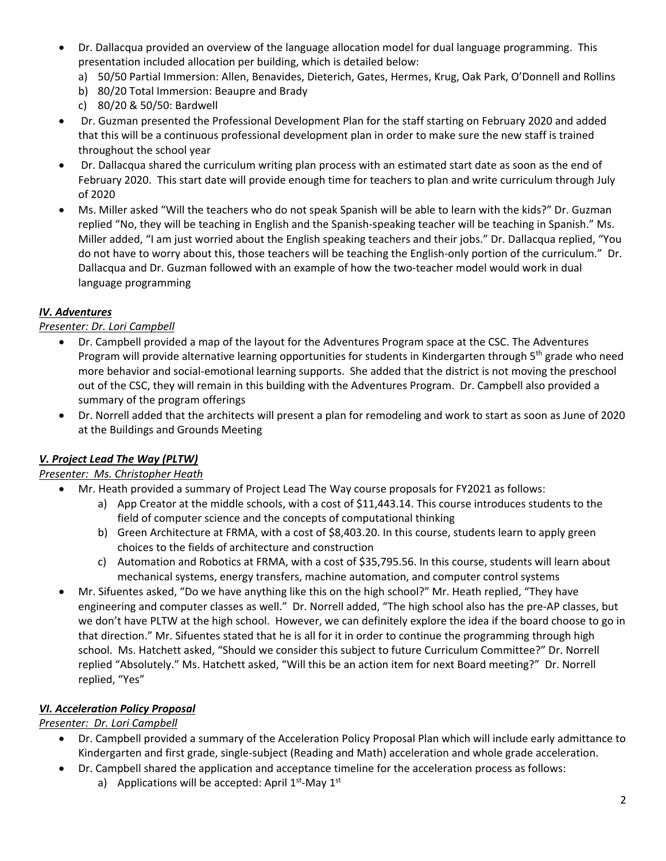- Dr. Dallacqua provided an overview of the language allocation model for dual language programming. This presentation included allocation per building, which is detailed below:
	- a) 50/50 Partial Immersion: Allen, Benavides, Dieterich, Gates, Hermes, Krug, Oak Park, O'Donnell and Rollins
	- b) 80/20 Total Immersion: Beaupre and Brady
	- c) 80/20 & 50/50: Bardwell
- Dr. Guzman presented the Professional Development Plan for the staff starting on February 2020 and added that this will be a continuous professional development plan in order to make sure the new staff is trained throughout the school year
- Dr. Dallacqua shared the curriculum writing plan process with an estimated start date as soon as the end of February 2020. This start date will provide enough time for teachers to plan and write curriculum through July of 2020
- Ms. Miller asked "Will the teachers who do not speak Spanish will be able to learn with the kids?" Dr. Guzman replied "No, they will be teaching in English and the Spanish‐speaking teacher will be teaching in Spanish." Ms. Miller added, "I am just worried about the English speaking teachers and their jobs." Dr. Dallacqua replied, "You do not have to worry about this, those teachers will be teaching the English-only portion of the curriculum." Dr. Dallacqua and Dr. Guzman followed with an example of how the two-teacher model would work in dual language programming

### *IV. Adventures*

## *Presenter: Dr. Lori Campbell*

- Dr. Campbell provided a map of the layout for the Adventures Program space at the CSC. The Adventures Program will provide alternative learning opportunities for students in Kindergarten through 5<sup>th</sup> grade who need more behavior and social‐emotional learning supports. She added that the district is not moving the preschool out of the CSC, they will remain in this building with the Adventures Program. Dr. Campbell also provided a summary of the program offerings
- Dr. Norrell added that the architects will present a plan for remodeling and work to start as soon as June of 2020 at the Buildings and Grounds Meeting

# *V. Project Lead The Way (PLTW)*

### *Presenter: Ms. Christopher Heath*

- Mr. Heath provided a summary of Project Lead The Way course proposals for FY2021 as follows:
	- a) App Creator at the middle schools, with a cost of \$11,443.14. This course introduces students to the field of computer science and the concepts of computational thinking
	- b) Green Architecture at FRMA, with a cost of \$8,403.20. In this course, students learn to apply green choices to the fields of architecture and construction
	- c) Automation and Robotics at FRMA, with a cost of \$35,795.56. In this course, students will learn about mechanical systems, energy transfers, machine automation, and computer control systems
- Mr. Sifuentes asked, "Do we have anything like this on the high school?" Mr. Heath replied, "They have engineering and computer classes as well." Dr. Norrell added, "The high school also has the pre‐AP classes, but we don't have PLTW at the high school. However, we can definitely explore the idea if the board choose to go in that direction." Mr. Sifuentes stated that he is all for it in order to continue the programming through high school. Ms. Hatchett asked, "Should we consider this subject to future Curriculum Committee?" Dr. Norrell replied "Absolutely." Ms. Hatchett asked, "Will this be an action item for next Board meeting?" Dr. Norrell replied, "Yes"

# *VI. Acceleration Policy Proposal*

### *Presenter: Dr. Lori Campbell*

- Dr. Campbell provided a summary of the Acceleration Policy Proposal Plan which will include early admittance to Kindergarten and first grade, single‐subject (Reading and Math) acceleration and whole grade acceleration.
- Dr. Campbell shared the application and acceptance timeline for the acceleration process as follows: a) Applications will be accepted: April  $1<sup>st</sup>$ -May  $1<sup>st</sup>$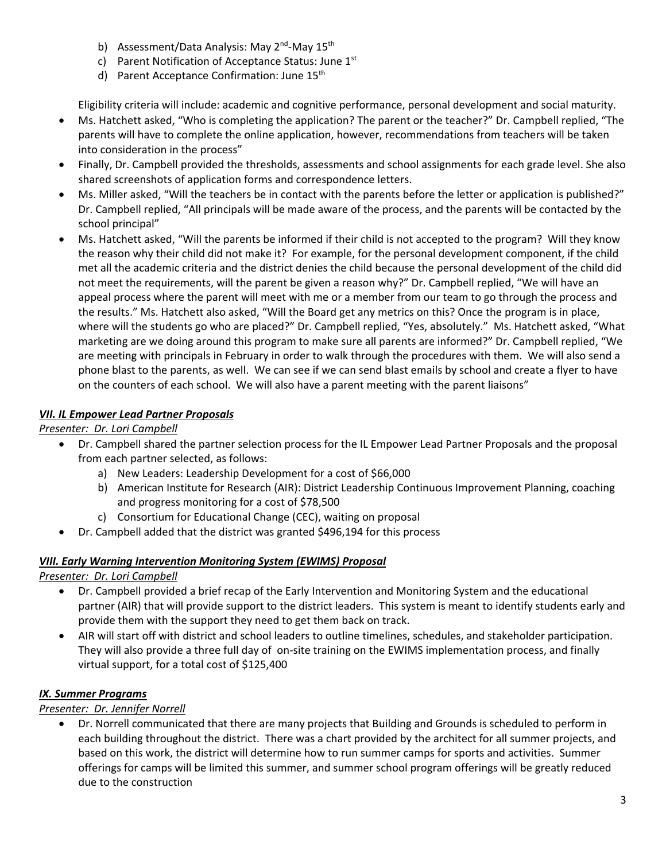- b) Assessment/Data Analysis: May 2<sup>nd</sup>-May 15<sup>th</sup>
- c) Parent Notification of Acceptance Status: June 1<sup>st</sup>
- d) Parent Acceptance Confirmation: June 15<sup>th</sup>

Eligibility criteria will include: academic and cognitive performance, personal development and social maturity.

- Ms. Hatchett asked, "Who is completing the application? The parent or the teacher?" Dr. Campbell replied, "The parents will have to complete the online application, however, recommendations from teachers will be taken into consideration in the process"
- Finally, Dr. Campbell provided the thresholds, assessments and school assignments for each grade level. She also shared screenshots of application forms and correspondence letters.
- Ms. Miller asked, "Will the teachers be in contact with the parents before the letter or application is published?" Dr. Campbell replied, "All principals will be made aware of the process, and the parents will be contacted by the school principal"
- Ms. Hatchett asked, "Will the parents be informed if their child is not accepted to the program? Will they know the reason why their child did not make it? For example, for the personal development component, if the child met all the academic criteria and the district denies the child because the personal development of the child did not meet the requirements, will the parent be given a reason why?" Dr. Campbell replied, "We will have an appeal process where the parent will meet with me or a member from our team to go through the process and the results." Ms. Hatchett also asked, "Will the Board get any metrics on this? Once the program is in place, where will the students go who are placed?" Dr. Campbell replied, "Yes, absolutely." Ms. Hatchett asked, "What marketing are we doing around this program to make sure all parents are informed?" Dr. Campbell replied, "We are meeting with principals in February in order to walk through the procedures with them. We will also send a phone blast to the parents, as well. We can see if we can send blast emails by school and create a flyer to have on the counters of each school. We will also have a parent meeting with the parent liaisons"

## *VII. IL Empower Lead Partner Proposals*

*Presenter: Dr. Lori Campbell* 

- Dr. Campbell shared the partner selection process for the IL Empower Lead Partner Proposals and the proposal from each partner selected, as follows:
	- a) New Leaders: Leadership Development for a cost of \$66,000
	- b) American Institute for Research (AIR): District Leadership Continuous Improvement Planning, coaching and progress monitoring for a cost of \$78,500
	- c) Consortium for Educational Change (CEC), waiting on proposal
	- Dr. Campbell added that the district was granted \$496,194 for this process

### *VIII. Early Warning Intervention Monitoring System (EWIMS) Proposal*

*Presenter: Dr. Lori Campbell* 

- Dr. Campbell provided a brief recap of the Early Intervention and Monitoring System and the educational partner (AIR) that will provide support to the district leaders. This system is meant to identify students early and provide them with the support they need to get them back on track.
- AIR will start off with district and school leaders to outline timelines, schedules, and stakeholder participation. They will also provide a three full day of on-site training on the EWIMS implementation process, and finally virtual support, for a total cost of \$125,400

### *IX. Summer Programs*

### *Presenter: Dr. Jennifer Norrell*

 Dr. Norrell communicated that there are many projects that Building and Grounds is scheduled to perform in each building throughout the district. There was a chart provided by the architect for all summer projects, and based on this work, the district will determine how to run summer camps for sports and activities. Summer offerings for camps will be limited this summer, and summer school program offerings will be greatly reduced due to the construction